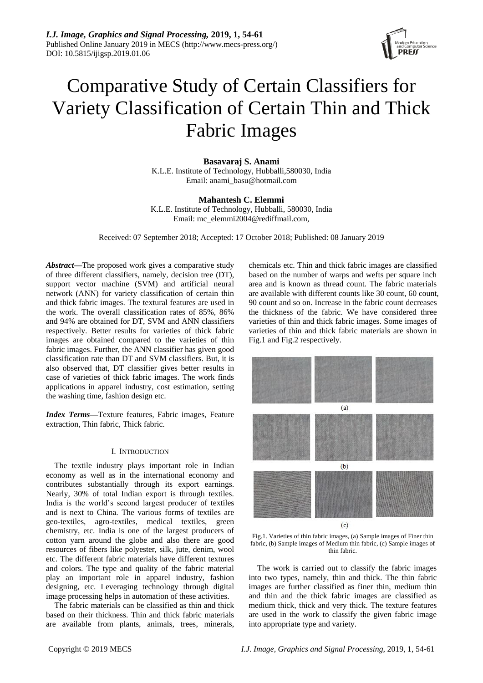

# Comparative Study of Certain Classifiers for Variety Classification of Certain Thin and Thick Fabric Images

**Basavaraj S. Anami** K.L.E. Institute of Technology, Hubballi,580030, India Email[: anami\\_basu@hotmail.com](mailto:anami_basu@hotmail.com)

**Mahantesh C. Elemmi** K.L.E. Institute of Technology, Hubballi, 580030, India Email: [mc\\_elemmi2004@rediffmail.com,](mailto:mc_elemmi2004@rediffmail.com,)

Received: 07 September 2018; Accepted: 17 October 2018; Published: 08 January 2019

*Abstract—*The proposed work gives a comparative study of three different classifiers, namely, decision tree (DT), support vector machine (SVM) and artificial neural network (ANN) for variety classification of certain thin and thick fabric images. The textural features are used in the work. The overall classification rates of 85%, 86% and 94% are obtained for DT, SVM and ANN classifiers respectively. Better results for varieties of thick fabric images are obtained compared to the varieties of thin fabric images. Further, the ANN classifier has given good classification rate than DT and SVM classifiers. But, it is also observed that, DT classifier gives better results in case of varieties of thick fabric images. The work finds applications in apparel industry, cost estimation, setting the washing time, fashion design etc.

*Index Terms—*Texture features, Fabric images, Feature extraction, Thin fabric, Thick fabric.

# I. INTRODUCTION

The textile industry plays important role in Indian economy as well as in the international economy and contributes substantially through its export earnings. Nearly, 30% of total Indian export is through textiles. India is the world's second largest producer of textiles and is next to China. The various forms of textiles are geo-textiles, agro-textiles, medical textiles, green chemistry, etc. India is one of the largest producers of cotton yarn around the globe and also there are good resources of fibers like polyester, silk, jute, denim, wool etc. The different fabric materials have different textures and colors. The type and quality of the fabric material play an important role in apparel industry, fashion designing, etc. Leveraging technology through digital image processing helps in automation of these activities.

The fabric materials can be classified as thin and thick based on their thickness. Thin and thick fabric materials are available from plants, animals, trees, minerals, chemicals etc. Thin and thick fabric images are classified based on the number of warps and wefts per square inch area and is known as thread count. The fabric materials are available with different counts like 30 count, 60 count, 90 count and so on. Increase in the fabric count decreases the thickness of the fabric. We have considered three varieties of thin and thick fabric images. Some images of varieties of thin and thick fabric materials are shown in Fig.1 and Fig.2 respectively.



Fig.1. Varieties of thin fabric images, (a) Sample images of Finer thin fabric, (b) Sample images of Medium thin fabric, (c) Sample images of thin fabric.

The work is carried out to classify the fabric images into two types, namely, thin and thick. The thin fabric images are further classified as finer thin, medium thin and thin and the thick fabric images are classified as medium thick, thick and very thick. The texture features are used in the work to classify the given fabric image into appropriate type and variety.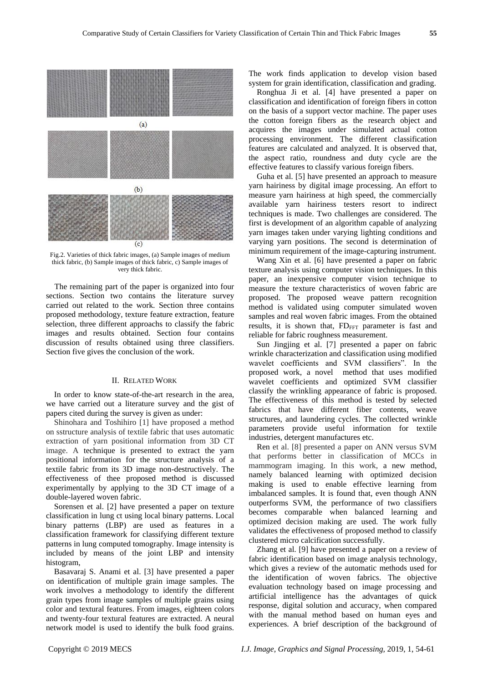

Fig.2. Varieties of thick fabric images, (a) Sample images of medium thick fabric, (b) Sample images of thick fabric, c) Sample images of very thick fabric.

The remaining part of the paper is organized into four sections. Section two contains the literature survey carried out related to the work. Section three contains proposed methodology, texture feature extraction, feature selection, three different approachs to classify the fabric images and results obtained. Section four contains discussion of results obtained using three classifiers. Section five gives the conclusion of the work.

# II. RELATED WORK

In order to know state-of-the-art research in the area, we have carried out a literature survey and the gist of papers cited during the survey is given as under:

Shinohara and Toshihiro [1] have proposed a method on sstructure analysis of textile fabric that uses automatic extraction of yarn positional information from 3D CT image. A technique is presented to extract the yarn positional information for the structure analysis of a textile fabric from its 3D image non-destructively. The effectiveness of thee proposed method is discussed experimentally by applying to the 3D CT image of a double-layered woven fabric.

Sorensen et al. [2] have presented a paper on texture classification in lung ct using local binary patterns. Local binary patterns (LBP) are used as features in a classification framework for classifying different texture patterns in lung computed tomography. Image intensity is included by means of the joint LBP and intensity histogram,

Basavaraj S. Anami et al. [3] have presented a paper on identification of multiple grain image samples. The work involves a methodology to identify the different grain types from image samples of multiple grains using color and textural features. From images, eighteen colors and twenty-four textural features are extracted. A neural network model is used to identify the bulk food grains.

The work finds application to develop vision based system for grain identification, classification and grading.

Ronghua Ji et al. [4] have presented a paper on classification and identification of foreign fibers in cotton on the basis of a support vector machine. The paper uses the cotton foreign fibers as the research object and acquires the images under simulated actual cotton processing environment. The different classification features are calculated and analyzed. It is observed that, the aspect ratio, roundness and duty cycle are the effective features to classify various foreign fibers.

Guha et al. [5] have presented an approach to measure yarn hairiness by digital image processing. An effort to measure yarn hairiness at high speed, the commercially available yarn hairiness testers resort to indirect techniques is made. Two challenges are considered. The first is development of an algorithm capable of analyzing yarn images taken under varying lighting conditions and varying yarn positions. The second is determination of minimum requirement of the image-capturing instrument.

Wang Xin et al. [6] have presented a paper on fabric texture analysis using computer vision techniques. In this paper, an inexpensive computer vision technique to measure the texture characteristics of woven fabric are proposed. The proposed weave pattern recognition method is validated using computer simulated woven samples and real woven fabric images. From the obtained results, it is shown that,  $FD_{FFT}$  parameter is fast and reliable for fabric roughness measurement.

Sun Jingjing et al. [7] presented a paper on fabric wrinkle characterization and classification using modified wavelet coefficients and SVM classifiers". In the proposed work, a novel method that uses modified wavelet coefficients and optimized SVM classifier classify the wrinkling appearance of fabric is proposed. The effectiveness of this method is tested by selected fabrics that have different fiber contents, weave structures, and laundering cycles. The collected wrinkle parameters provide useful information for textile industries, detergent manufactures etc.

Ren et al. [8] presented a paper on ANN versus SVM that performs better in classification of MCCs in mammogram imaging. In this work, a new method, namely balanced learning with optimized decision making is used to enable effective learning from imbalanced samples. It is found that, even though ANN outperforms SVM, the performance of two classifiers becomes comparable when balanced learning and optimized decision making are used. The work fully validates the effectiveness of proposed method to classify clustered micro calcification successfully.

Zhang et al. [9] have presented a paper on a review of fabric identification based on image analysis technology, which gives a review of the automatic methods used for the identification of woven fabrics. The objective evaluation technology based on image processing and artificial intelligence has the advantages of quick response, digital solution and accuracy, when compared with the manual method based on human eyes and experiences. A brief description of the background of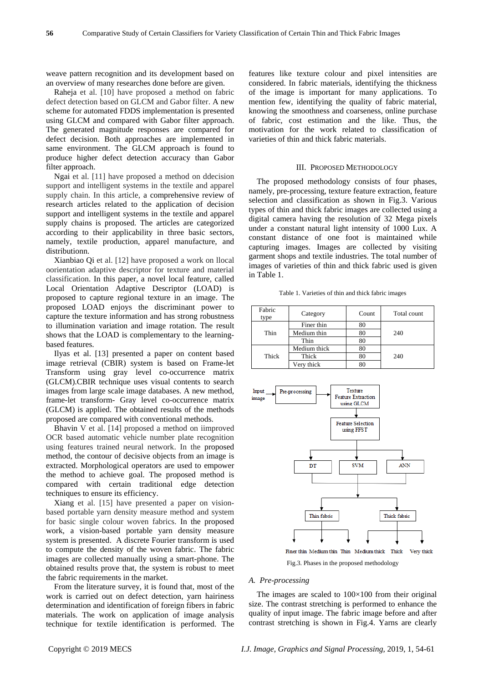weave pattern recognition and its development based on an overview of many researches done before are given.

Raheja et al. [10] have proposed a method on fabric defect detection based on GLCM and Gabor filter. A new scheme for automated FDDS implementation is presented using GLCM and compared with Gabor filter approach. The generated magnitude responses are compared for defect decision. Both approaches are implemented in same environment. The GLCM approach is found to produce higher defect detection accuracy than Gabor filter approach.

Ngai et al. [11] have proposed a method on ddecision support and intelligent systems in the textile and apparel supply chain. In this article, a comprehensive review of research articles related to the application of decision support and intelligent systems in the textile and apparel supply chains is proposed. The articles are categorized according to their applicability in three basic sectors, namely, textile production, apparel manufacture, and distributionn.

Xianbiao Qi et al. [12] have proposed a work on llocal oorientation adaptive descriptor for texture and material classification. In this paper, a novel local feature, called Local Orientation Adaptive Descriptor (LOAD) is proposed to capture regional texture in an image. The proposed LOAD enjoys the discriminant power to capture the texture information and has strong robustness to illumination variation and image rotation. The result shows that the LOAD is complementary to the learningbased features.

Ilyas et al. [13] presented a paper on content based image retrieval (CBIR) system is based on Frame-let Transform using gray level co-occurrence matrix (GLCM).CBIR technique uses visual contents to search images from large scale image databases. A new method, frame-let transform- Gray level co-occurrence matrix (GLCM) is applied. The obtained results of the methods proposed are compared with conventional methods.

Bhavin V et al. [14] proposed a method on iimproved OCR based automatic vehicle number plate recognition using features trained neural network. In the proposed method, the contour of decisive objects from an image is extracted. Morphological operators are used to empower the method to achieve goal. The proposed method is compared with certain traditional edge detection techniques to ensure its efficiency.

Xiang et al. [15] have presented a paper on visionbased portable yarn density measure method and system for basic single colour woven fabrics. In the proposed work, a vision-based portable yarn density measure system is presented. A discrete Fourier transform is used to compute the density of the woven fabric. The fabric images are collected manually using a smart-phone. The obtained results prove that, the system is robust to meet the fabric requirements in the market.

From the literature survey, it is found that, most of the work is carried out on defect detection, yarn hairiness determination and identification of foreign fibers in fabric materials. The work on application of image analysis technique for textile identification is performed. The features like texture colour and pixel intensities are considered. In fabric materials, identifying the thickness of the image is important for many applications. To mention few, identifying the quality of fabric material, knowing the smoothness and coarseness, online purchase of fabric, cost estimation and the like. Thus, the motivation for the work related to classification of varieties of thin and thick fabric materials.

# III. PROPOSED METHODOLOGY

The proposed methodology consists of four phases, namely, pre-processing, texture feature extraction, feature selection and classification as shown in Fig.3. Various types of thin and thick fabric images are collected using a digital camera having the resolution of 32 Mega pixels under a constant natural light intensity of 1000 Lux. A constant distance of one foot is maintained while capturing images. Images are collected by visiting garment shops and textile industries. The total number of images of varieties of thin and thick fabric used is given in Table 1.

Table 1. Varieties of thin and thick fabric images

| Fabric<br>type | Category     | Count | Total count |
|----------------|--------------|-------|-------------|
| Thin           | Finer thin   | 80    |             |
|                | Medium thin  | 80    | 240         |
|                | Thin         | 80    |             |
| Thick          | Medium thick | 80    |             |
|                | Thick        | 80    | 240         |
|                | Very thick   |       |             |



Finer thin Medium thin Thin Medium thick Thick Very thick Fig.3. Phases in the proposed methodology

## *A. Pre-processing*

The images are scaled to  $100\times100$  from their original size. The contrast stretching is performed to enhance the quality of input image. The fabric image before and after contrast stretching is shown in Fig.4. Yarns are clearly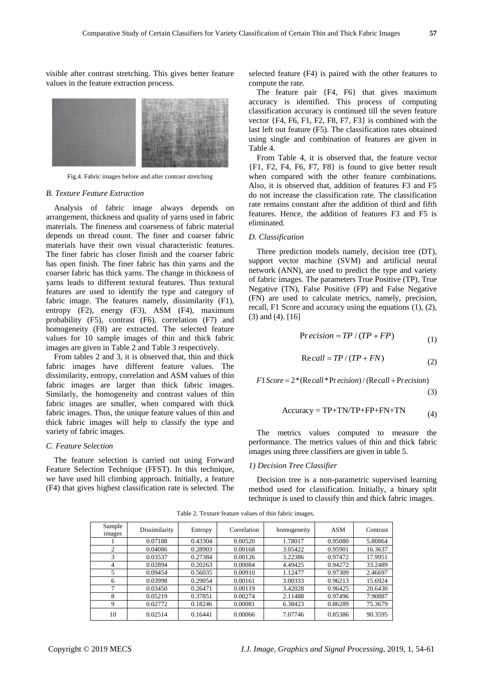visible after contrast stretching. This gives better feature values in the feature extraction process.



Fig.4. Fabric images before and after contrast stretching

## *B. Texture Feature Extraction*

Analysis of fabric image always depends on arrangement, thickness and quality of yarns used in fabric materials. The fineness and coarseness of fabric material depends on thread count. The finer and coarser fabric materials have their own visual characteristic features. The finer fabric has closer finish and the coarser fabric has open finish. The finer fabric has thin yarns and the coarser fabric has thick yarns. The change in thickness of yarns leads to different textural features. Thus textural features are used to identify the type and category of fabric image. The features namely, dissimilarity (F1), entropy (F2), energy (F3), ASM (F4), maximum probability (F5), contrast (F6), correlation (F7) and homogeneity (F8) are extracted. The selected feature values for 10 sample images of thin and thick fabric images are given in Table 2 and Table 3 respectively.

From tables 2 and 3, it is observed that, thin and thick fabric images have different feature values. The dissimilarity, entropy, correlation and ASM values of thin fabric images are larger than thick fabric images. Similarly, the homogeneity and contrast values of thin fabric images are smaller, when compared with thick fabric images. Thus, the unique feature values of thin and thick fabric images will help to classify the type and variety of fabric images.

#### *C. Feature Selection*

The feature selection is carried out using Forward Feature Selection Technique (FFST). In this technique, we have used hill climbing approach. Initially, a feature (F4) that gives highest classification rate is selected. The

selected feature (F4) is paired with the other features to compute the rate.

The feature pair {F4, F6} that gives maximum accuracy is identified. This process of computing classification accuracy is continued till the seven feature vector {F4, F6, F1, F2, F8, F7, F3} is combined with the last left out feature (F5). The classification rates obtained using single and combination of features are given in Table 4.

From Table 4, it is observed that, the feature vector {F1, F2, F4, F6, F7, F8} is found to give better result when compared with the other feature combinations. Also, it is observed that, addition of features F3 and F5 do not increase the classification rate. The classification rate remains constant after the addition of third and fifth features. Hence, the addition of features F3 and F5 is eliminated.

## *D. Classification*

Three prediction models namely, decision tree (DT), support vector machine (SVM) and artificial neural network (ANN), are used to predict the type and variety of fabric images. The parameters True Positive (TP), True Negative (TN), False Positive (FP) and False Negative (FN) are used to calculate metrics, namely, precision, recall, F1 Score and accuracy using the equations (1), (2), (3) and (4). [16]

$$
Pr\,ecision = TP / (TP + FP)
$$
\n(1)

$$
Re\,call = TP / (TP + FN)
$$
 (2)

 $F1 Score = 2 * (Recall * Precision) / (Recall + Precision)$ 

(3)

$$
Accuracy = TP + TN/TP + FP + FN + TN
$$
\n(4)

The metrics values computed to measure the performance. The metrics values of thin and thick fabric images using three classifiers are given in table 5.

# *1) Decision Tree Classifier*

Decision tree is a non-parametric supervised learning method used for classification. Initially, a binary split technique is used to classify thin and thick fabric images.

| Sample<br>images | Dissimilarity | Entropy | Correlation | homogeneity | ASM     | Contrast |
|------------------|---------------|---------|-------------|-------------|---------|----------|
|                  | 0.07188       | 0.43304 | 0.00520     | 1.78017     | 0.95080 | 5.80864  |
| ◠                | 0.04086       | 0.28903 | 0.00168     | 3.05422     | 0.95901 | 16.3637  |
| 3                | 0.03537       | 0.27384 | 0.00126     | 3.22386     | 0.97472 | 17.9951  |
| 4                | 0.02894       | 0.20263 | 0.00084     | 4.49425     | 0.94272 | 33.2489  |
| 5                | 0.09454       | 0.56035 | 0.00910     | 1.12477     | 0.97309 | 2.46697  |
| 6                | 0.03998       | 0.29054 | 0.00161     | 3.00333     | 0.96213 | 15.6924  |
| ┑                | 0.03450       | 0.26471 | 0.00119     | 3.42028     | 0.96425 | 20.6430  |
| 8                | 0.05219       | 0.37851 | 0.00274     | 2.11488     | 0.97496 | 7.90887  |
| 9                | 0.02772       | 0.18246 | 0.00081     | 6.38423     | 0.86289 | 75.3679  |
| 10               | 0.02514       | 0.16441 | 0.00066     | 7.07746     | 0.85386 | 90.3595  |

Table 2. Texture feature values of thin fabric images.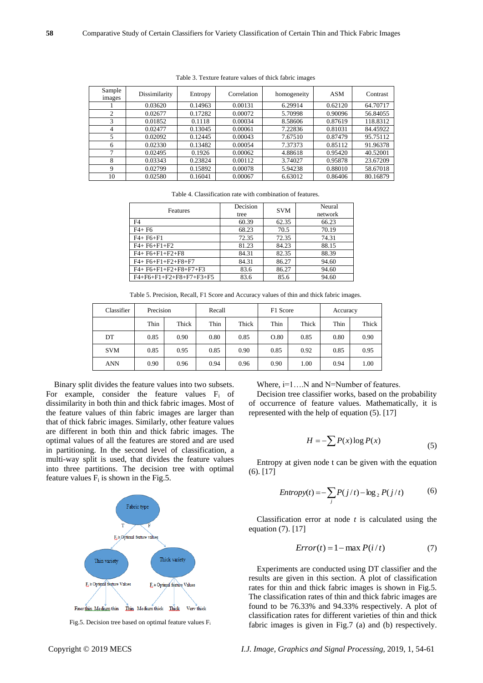| Sample<br>images | Dissimilarity | Entropy | Correlation | homogeneity | <b>ASM</b> | Contrast |
|------------------|---------------|---------|-------------|-------------|------------|----------|
|                  | 0.03620       | 0.14963 | 0.00131     | 6.29914     | 0.62120    | 64.70717 |
| 2                | 0.02677       | 0.17282 | 0.00072     | 5.70998     | 0.90096    | 56.84055 |
| 3                | 0.01852       | 0.1118  | 0.00034     | 8.58606     | 0.87619    | 118.8312 |
| 4                | 0.02477       | 0.13045 | 0.00061     | 7.22836     | 0.81031    | 84.45922 |
| 5                | 0.02092       | 0.12445 | 0.00043     | 7.67510     | 0.87479    | 95.75112 |
| 6                | 0.02330       | 0.13482 | 0.00054     | 7.37373     | 0.85112    | 91.96378 |
|                  | 0.02495       | 0.1926  | 0.00062     | 4.88618     | 0.95420    | 40.52001 |
| 8                | 0.03343       | 0.23824 | 0.00112     | 3.74027     | 0.95878    | 23.67209 |
| 9                | 0.02799       | 0.15892 | 0.00078     | 5.94238     | 0.88010    | 58.67018 |
| 10               | 0.02580       | 0.16041 | 0.00067     | 6.63012     | 0.86406    | 80.16879 |

Table 3. Texture feature values of thick fabric images

Table 4. Classification rate with combination of features.

| <b>Features</b>                         | Decision<br>tree | <b>SVM</b> | Neural<br>network |
|-----------------------------------------|------------------|------------|-------------------|
| F <sub>4</sub>                          | 60.39            | 62.35      | 66.23             |
| $F4 + F6$                               | 68.23            | 70.5       | 70.19             |
| $F4 + F6 + F1$                          | 72.35            | 72.35      | 74.31             |
| $F4 + F6 + F1 + F2$                     | 81.23            | 84.23      | 88.15             |
| $F4 + F6 + F1 + F2 + F8$                | 84.31            | 82.35      | 88.39             |
| F4+F6+F1+F2+F8+F7                       | 84.31            | 86.27      | 94.60             |
| F4+F6+F1+F2+F8+F7+F3                    | 83.6             | 86.27      | 94.60             |
| $F4 + F6 + F1 + F2 + F8 + F7 + F3 + F5$ | 83.6             | 85.6       | 94.60             |

Table 5. Precision, Recall, F1 Score and Accuracy values of thin and thick fabric images.

| Classifier | Precision |       | Recall |       | F1 Score |       | Accuracy |       |
|------------|-----------|-------|--------|-------|----------|-------|----------|-------|
|            | Thin      | Thick | Thin   | Thick | Thin     | Thick | Thin     | Thick |
| DT         | 0.85      | 0.90  | 0.80   | 0.85  | O.80     | 0.85  | 0.80     | 0.90  |
| <b>SVM</b> | 0.85      | 0.95  | 0.85   | 0.90  | 0.85     | 0.92  | 0.85     | 0.95  |
| <b>ANN</b> | 0.90      | 0.96  | 0.94   | 0.96  | 0.90     | 1.00  | 0.94     | 1.00  |

Binary split divides the feature values into two subsets. For example, consider the feature values  $F_i$  of dissimilarity in both thin and thick fabric images. Most of the feature values of thin fabric images are larger than that of thick fabric images. Similarly, other feature values are different in both thin and thick fabric images. The optimal values of all the features are stored and are used in partitioning. In the second level of classification, a multi-way split is used, that divides the feature values into three partitions. The decision tree with optimal feature values  $F_i$  is shown in the Fig.5.



Fig.5. Decision tree based on optimal feature values  $F_i$ 

Where,  $i=1...N$  and N=Number of features.

Decision tree classifier works, based on the probability of occurrence of feature values. Mathematically, it is represented with the help of equation (5). [17]

$$
H = -\sum P(x) \log P(x) \tag{5}
$$

Entropy at given node t can be given with the equation (6). [17]

$$
Entropy(t) = -\sum_{j} P(j/t) - \log_2 P(j/t)
$$
 (6)

Classification error at node *t* is calculated using the equation (7). [17]

$$
Error(t) = 1 - \max P(i/t)
$$
 (7)

Experiments are conducted using DT classifier and the results are given in this section. A plot of classification rates for thin and thick fabric images is shown in Fig.5. The classification rates of thin and thick fabric images are found to be 76.33% and 94.33% respectively. A plot of classification rates for different varieties of thin and thick fabric images is given in Fig.7 (a) and (b) respectively.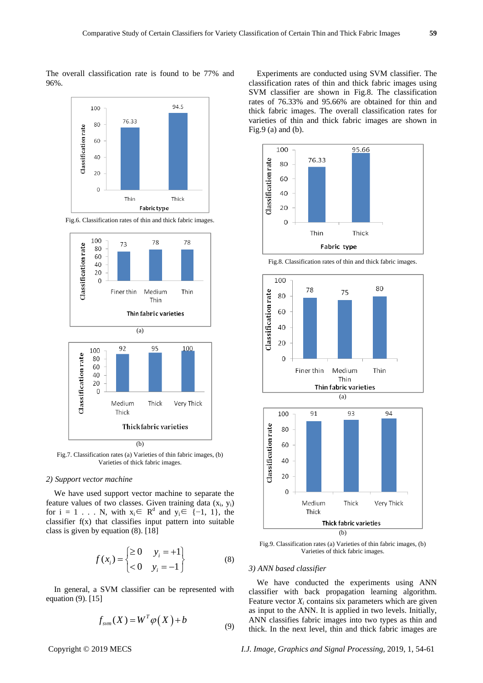The overall classification rate is found to be 77% and 96%.







Fig.7. Classification rates (a) Varieties of thin fabric images, (b) Varieties of thick fabric images.

## *2) Support vector machine*

We have used support vector machine to separate the feature values of two classes. Given training data  $(x_i, y_i)$ for  $i = 1$ ... N, with  $x_i \in \mathbb{R}^d$  and  $y_i \in \{-1, 1\}$ , the classifier f(x) that classifies input pattern into suitable class is given by equation (8). [18]

$$
f(x_i) = \begin{cases} \ge 0 & y_i = +1 \\ <0 & y_i = -1 \end{cases}
$$
 (8)

In general, a SVM classifier can be represented with equation (9). [15]

$$
f_{sym}(X) = W^T \varphi(X) + b \tag{9}
$$

Experiments are conducted using SVM classifier. The classification rates of thin and thick fabric images using SVM classifier are shown in Fig.8. The classification rates of 76.33% and 95.66% are obtained for thin and thick fabric images. The overall classification rates for varieties of thin and thick fabric images are shown in Fig.9 (a) and (b).



Fig.8. Classification rates of thin and thick fabric images.





Fig.9. Classification rates (a) Varieties of thin fabric images, (b) Varieties of thick fabric images.

#### *3) ANN based classifier*

We have conducted the experiments using ANN classifier with back propagation learning algorithm. Feature vector  $X_i$  contains six parameters which are given as input to the ANN. It is applied in two levels. Initially, ANN classifies fabric images into two types as thin and thick. In the next level, thin and thick fabric images are

Copyright © 2019 MECS *I.J. Image, Graphics and Signal Processing,* 2019, 1, 54-61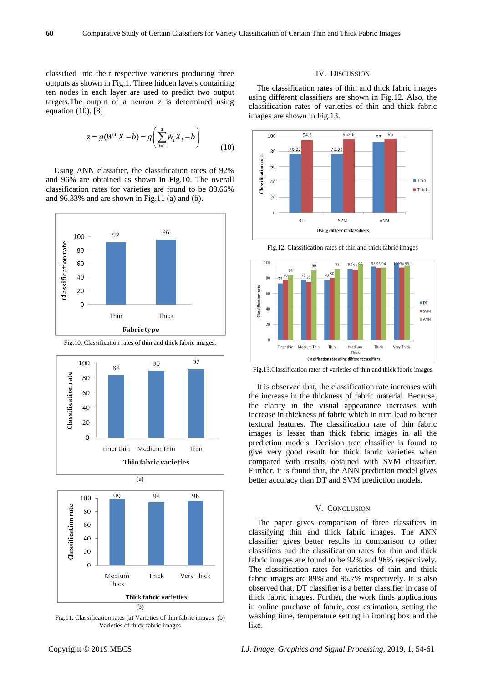classified into their respective varieties producing three outputs as shown in Fig.1. Three hidden layers containing ten nodes in each layer are used to predict two output targets.The output of a neuron z is determined using equation (10). [8]

$$
z = g(WT X - b) = g\left(\sum_{i=1}^{d} W_i X_i - b\right)
$$
\n(10)

Using ANN classifier, the classification rates of 92% and 96% are obtained as shown in Fig.10. The overall classification rates for varieties are found to be 88.66% and 96.33% and are shown in Fig.11 (a) and (b).



Fig.10. Classification rates of thin and thick fabric images.





Fig.11. Classification rates (a) Varieties of thin fabric images (b) Varieties of thick fabric images

# IV. DISCUSSION

The classification rates of thin and thick fabric images using different classifiers are shown in Fig.12. Also, the classification rates of varieties of thin and thick fabric images are shown in Fig.13.



Fig.12. Classification rates of thin and thick fabric images



Fig.13.Classification rates of varieties of thin and thick fabric images

It is observed that, the classification rate increases with the increase in the thickness of fabric material. Because, the clarity in the visual appearance increases with increase in thickness of fabric which in turn lead to better textural features. The classification rate of thin fabric images is lesser than thick fabric images in all the prediction models. Decision tree classifier is found to give very good result for thick fabric varieties when compared with results obtained with SVM classifier. Further, it is found that, the ANN prediction model gives better accuracy than DT and SVM prediction models.

## V. CONCLUSION

The paper gives comparison of three classifiers in classifying thin and thick fabric images. The ANN classifier gives better results in comparison to other classifiers and the classification rates for thin and thick fabric images are found to be 92% and 96% respectively. The classification rates for varieties of thin and thick fabric images are 89% and 95.7% respectively. It is also observed that, DT classifier is a better classifier in case of thick fabric images. Further, the work finds applications in online purchase of fabric, cost estimation, setting the washing time, temperature setting in ironing box and the like.